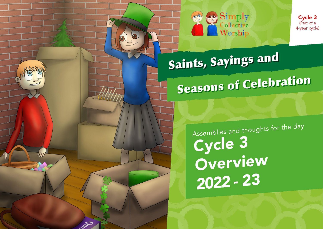

Cycle 3 (Part of a 4-year cycle)

Saints, Sayings and

 $y_{ll}$ 

020

# **Seasons of Celebration**

Assemblies and thoughts for the day Cycle 3 Overview 2022 - 23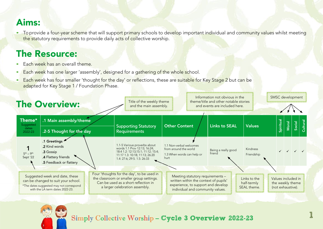### Aims:

• To provide a four-year scheme that will support primary schools to develop important individual and community values whilst meeting the statutory requirements to provide daily acts of collective worship.

## The Resource:

- **•** Each week has an overall theme.
- Each week has one larger 'assembly', designed for a gathering of the whole school.
- **•** Each week has four smaller 'thought for the day' or reflections, these are suitable for Key Stage 2 but can be adapted for Key Stage 1 / Foundation Phase.





#### Simply Collective Worship – Cycle 3 Overview 2022-23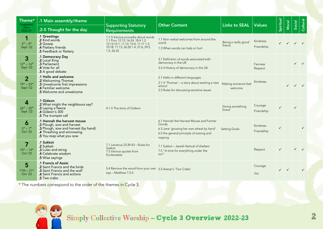| Theme <sup>*</sup><br>Suggested                            | .1 Main assembly/theme                                                                                                                                      | <b>Supporting Statutory</b>                                                                                                                                        | <b>Other Content</b>                                                                                                                               | Links to SEAL   Values         |                               | Spiritual    | Moral | Social | Cultural     |
|------------------------------------------------------------|-------------------------------------------------------------------------------------------------------------------------------------------------------------|--------------------------------------------------------------------------------------------------------------------------------------------------------------------|----------------------------------------------------------------------------------------------------------------------------------------------------|--------------------------------|-------------------------------|--------------|-------|--------|--------------|
| dates<br>2022-23                                           | .2-5 Thought for the day                                                                                                                                    | <b>Requirements</b>                                                                                                                                                |                                                                                                                                                    |                                |                               |              |       |        |              |
| 1<br>$5^{th} - 9^{th}$<br>Sept '22                         | .1 Greetings<br>.2 Kind words<br>.3 Gossip<br>.4 Flattery friends<br>.5 Feedback or flattery                                                                | 1.1-5 Various proverbs about words<br>1.1 Prov 12:13; 16:24; 18:4 1.2:<br>12:13;15:1; 11:12; 15:4; 11:17 1.3:<br>10:18, 11:13, 26:20 1.4: 27:6, 29:5.<br>1.5:26:33 | 1.1 Non-verbal welcomes from around the<br>world<br>1.3 When words can help or hurt                                                                | Being a really good<br>friend  | Kindness<br>Friendship        |              |       |        |              |
| 3<br>$12^{th} - 16^{th}$<br>Sept '22                       | .1 Democracy Day<br>.2 Local King<br>.3 Parliament<br>.4 Vote for all<br>.5 A good debate                                                                   |                                                                                                                                                                    | 3.1 Definition of words associated with<br>democracy in the UK<br>3.2-4 History of democracy in the UK                                             |                                | Fairness<br>Respect           |              |       |        |              |
| $\overline{2}$<br>$19^{th} - 23^{rd}$<br>Sept '22          | .1 Hello and welcome<br>.2 Welcoming Thomas<br>.3 Unwelcome first impressions<br>.4 Familiar welcome<br>.5 Welcome and unwelcome                            |                                                                                                                                                                    | 2.1 Hello in different languages<br>2.1-4 'Thomas' – a story about starting a new<br>school<br>2.5 Rules for discussing sensitive issues           | Making someone feel<br>welcome | <b>Kindness</b>               |              |       |        |              |
| $\overline{\mathbf{4}}$<br>$26^{th} - 30^{th}$<br>Sept '22 | .1 Gideon<br>.2 What might the neighbours say?<br>.3 Laying a fleece<br><b>4 Gideon's 300</b><br>.5 The trumpet call                                        | 4.1-5 The story of Gideon                                                                                                                                          |                                                                                                                                                    | Doing something<br>brave       | Courage<br>Friendship         |              |       |        |              |
| 6<br>$3^{\text{rd}} - 7^{\text{th}}$<br>Oct '22            | .1 Hannah the harvest mouse<br>.2 Plough, sow and harvest<br>.3 Plough, sow and harvest (by hand)<br>.4 Threshing and winnowing<br>.5 You reap what you sow |                                                                                                                                                                    | 6.1 Hannah the Harvest Mouse and Farmer<br>Goody<br>6.3 Jane 'growing her own wheat by hand'<br>6.5 the general principle of sowing and<br>reaping | <b>Setting Goals</b>           | <b>Kindness</b><br>Friendship | ✓            |       |        | $\checkmark$ |
| 7<br>$10^{th} - 14^{th}$<br>Oct '22                        | .1 Sukkot<br>.2 Sukkah<br>.3 Lulav and etrog<br>.4 Celebrate wisdom<br>.5 Wise sayings                                                                      | 7.1 Leviticus 23:39-43 - Rules for<br>Sukkot<br>7.5 Various quotes from<br><b>Ecclesiastes</b>                                                                     | 7.1 Sukkot - Jewish festival of shelters<br>7.5 "A time for everything under the<br>sun"                                                           |                                | Respect                       |              |       |        |              |
| 5<br>$17th - 21^{st}$<br>Oct '22                           | .1 Francis of Assisi<br>.2 Saint Francis and the birds<br>.3 Saint Francis and the wolf<br>.4 Saint Francis and actions<br>.5 Two crabs                     | 5.4 Remove the wood from your own 5.5 Aesop's 'Two Crabs'<br>eye - Matthew 7:3-5                                                                                   |                                                                                                                                                    |                                | Courage<br>Joy                | $\checkmark$ |       |        | $\checkmark$ |

\* The numbe<mark>rs corr</mark>espond to the order of the themes in Cycle 3.



#### Simply Collective Worship – Cycle 3 Overview 2022-23 22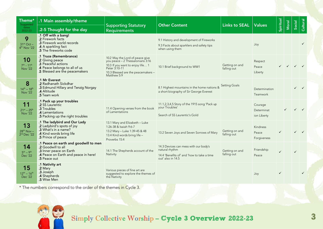| Theme*<br>Suggested<br>dates                            | .1 Main assembly/theme<br>.2-5 Thought for the day                                                                                             | <b>Supporting Statutory</b>                                                                                                                                                   | <b>Other Content</b>                                                                                                       | Links to SEAL Values          |                                      | Spiritual    | Moral | Social                    | Cultural     |
|---------------------------------------------------------|------------------------------------------------------------------------------------------------------------------------------------------------|-------------------------------------------------------------------------------------------------------------------------------------------------------------------------------|----------------------------------------------------------------------------------------------------------------------------|-------------------------------|--------------------------------------|--------------|-------|---------------------------|--------------|
| 2022-23<br>9<br>$31st Oct -$<br>4 <sup>th</sup> Nov '22 | .1 Off with a bang!<br>.2 Firework facts<br>.3 Firework world records<br>.4 A sparkling fact<br><b>.5</b> The fireworks code                   | <b>Requirements</b>                                                                                                                                                           | 9.1 History and development of Fireworks<br>9.3 Facts about sparklers and safety tips<br>when using them                   |                               | Joy                                  |              |       |                           |              |
| 10<br>$7^{th} - 11^{th}$<br><b>Nov '22</b>              | .1 Truce (Remembrance)<br>2 Giving peace<br>3 Peaceful actions<br>A Peace belongs to all of us<br>.5 Blessed are the peacemakers               | 10.2 May the Lord of peace give<br>you peace - 2 Thessalonians 3:16<br>10.3 If you want to enjoy life 1<br>Peter 3:10-11<br>10.3 Blessed are the peacemakers -<br>Matthew 5:9 | 10.1 Brief background to WW1                                                                                               | Getting on and<br>falling out | Respect<br>Peace<br>Liberty          |              |       | $\checkmark$ $\checkmark$ |              |
| 8<br>$14^{th} - 18^{th}$<br><b>Nov '22</b>              | .1 Mr Everest<br>.2 Radhanath Sickdhar<br>.3 Edmund Hillary and Tenzig Norgay<br>.4 Altitude<br>.5 Team work                                   |                                                                                                                                                                               | 8.1 Highest mountains in the home nations &<br>a short biography of Sir George Everest                                     | <b>Setting Goals</b>          | Determination<br>Teamwork            |              |       |                           |              |
| 11<br>$21^{st} - 25^{th}$<br>Nov '22                    | .1 Pack up your troubles<br>.2 SS Laurentic<br>.3 Troubles<br>.4 Lamentations<br>.5 Packing up the right troubles                              | 11.4 Opening verses from the book<br>of Lamentations                                                                                                                          | 11.1,2,3,4,5 Story of the 1915 song 'Pack up<br>your Troubles'<br>Search of SS Laurentic's Gold                            |                               | Courage<br>Determinat<br>ion Liberty |              |       |                           |              |
| 13<br>$28^{th}$ Nov -<br>$2nd$ Dec '22                  | .1 The ladybird and Our Lady<br>.2 Ladybird's spots of joy<br>.3 What's in a name?<br>4 Kind words bring life<br>.5 Prince of peace            | 13.1 Mary and Elizabeth - Luke<br>1:26-38 & Isaiah 9:6-7<br>13.2 Mary - Luke 1:39-45 & 48<br>13.4 Kind words bring life -<br>Proverbs 15:4                                    | 13.2 Seven Joys and Seven Sorrows of Mary                                                                                  | Getting on and<br>falling out | Kindness<br>Peace<br>Forgiveness     | $\checkmark$ |       |                           |              |
| 14<br>$5th - 9th$<br>Dec '22                            | .1 Peace on earth and goodwill to men<br>.2 Goodwill to all<br>.3 Inner peace on Earth<br>.4 Peace on Earth and peace in here!<br>.5 Peace out | 14.1 The Shepherds account of the<br>Nativity                                                                                                                                 | 14.3 Devices can mess with our body's<br>natural rhythm<br>14.4 'Benefits of' and 'how to take a time<br>out' also in 14.5 | Getting on and<br>falling out | Friendship<br>Peace                  | $\checkmark$ |       |                           |              |
| 15<br>$12^{th} - 16^{th}$<br>Dec '22                    | .1 Nativity art<br>.2 Mary<br>.3 Joseph<br>.4 Shepherds<br>.5 Wise Men                                                                         | Various pieces of fine art are<br>suggested to explore the themes of<br>the Nativity                                                                                          |                                                                                                                            |                               | Joy                                  | $\checkmark$ |       |                           | $\checkmark$ |

\* The numbers correspond to the order of the themes in Cycle 3.



#### Simply Collective Worship – Cycle 3 Overview 2022-23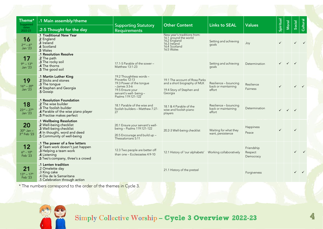| Theme*<br>Suggested                   | .1 Main assembly/theme                                                                                                                           | <b>Supporting Statutory</b>                                                                                                                                   | <b>Other Content</b>                                                                                                | <b>Links to SEAL</b>                                   | <b>Values</b>                      | Spiritual    | Moral                                  | Social       | Cultural |
|---------------------------------------|--------------------------------------------------------------------------------------------------------------------------------------------------|---------------------------------------------------------------------------------------------------------------------------------------------------------------|---------------------------------------------------------------------------------------------------------------------|--------------------------------------------------------|------------------------------------|--------------|----------------------------------------|--------------|----------|
| dates<br>2022-23                      | .2-5 Thought for the day                                                                                                                         | <b>Requirements</b>                                                                                                                                           |                                                                                                                     |                                                        |                                    |              |                                        |              |          |
| 16<br>$2nd - 6th$<br>Jan '23          | .1 Traditional New Year<br>2 England<br>3 Ireland<br><b>4 Scotland</b><br>.5 Wales                                                               |                                                                                                                                                               | New year's traditions from:<br>16.1 around the world<br>16.2 England<br>16.3 Ireland<br>16.4 Scotland<br>16.5 Wales | Setting and achieving<br>qoals                         | Joy                                | $\checkmark$ |                                        | $\checkmark$ |          |
| 17<br>$9^{th} - 13^{th}$<br>Jan '23   | .1 Resolution Resolve<br>.2 The path<br>.3 The rocky soil<br>.4 The thorns<br>.5 The good soil                                                   | 17.1-5 Parable of the sower -<br>Matthew 13:1-23                                                                                                              |                                                                                                                     | Setting and achieving<br>qoals                         | Determination                      | $\checkmark$ | $\checkmark$                           | $\checkmark$ |          |
| 19<br>$16^{th} - 20^{th}$<br>Jan '23  | .1 Martin Luther King<br>.2 Sticks and stones<br>.3 The tongue<br>.4 Stephen and Georgia<br>.5 Gossip                                            | 19.2 Thoughtless words -<br>Proverbs 12:13<br>19.3 Power of the tonque<br>$-James$ 3:3-6<br>19.5 Ensure your<br>servant's well- being -<br>Psalms 119:121-122 | 19.1 The account of Rosa Parks<br>and a short biography of MLK<br>19.4 Story of Stephen and<br>Georgia              | Resilience - bouncing<br>back or maintaining<br>effort | Resilience<br>Fairness             | $\checkmark$ |                                        | $\checkmark$ |          |
| 18<br>$23^{rd} - 27^{th}$<br>Jan '23  | .1 Resolution Foundation<br>.2 The wise builder<br>.3 The foolish builder<br>.4 Parable of the wise piano player<br>.5 Practise makes perfect    | 18.1 Parable of the wise and<br>foolish builders - Matthew 7:27-<br>27                                                                                        | 18.1 & 4 Parable of the<br>wise and foolish piano<br>players                                                        | Resilience - bouncing<br>back or maintaining<br>effort | Determination                      |              | $\checkmark$ $\checkmark$ $\checkmark$ |              |          |
| 20<br>$30th$ Jan $-$<br>3rd Feb '23   | .1 Wellbeing Resolution<br>.2 Well-being checklist<br>.3 Well-being checklist<br>.4 In thought, word and deed<br>.5 Community of well-being      | 20.1 Ensure your servant's well-<br>being - Psalms 119:121-122<br>20.5 Encourage and build up -<br>Thessalonians 5:11                                         | 20.2-3 Well-being checklist                                                                                         | Waiting for what they<br>want, persistence             | Happiness<br>Peace                 | $\checkmark$ |                                        | $\checkmark$ |          |
| 12<br>$6^{th}$ - $10^{th}$<br>Feb '23 | .1 The power of a few letters<br>.2 Team work doesn't just happen<br>.3 Helping a team work<br>.4 Listening<br>.5 Two's company, three's a crowd | 12.3 Two people are better off<br>than one - Ecclesiastes 4:9-10                                                                                              | 12.1 History of 'our alphabets'                                                                                     | Working collaboratively                                | Friendship<br>Respect<br>Democracy |              |                                        |              |          |
| 21<br>$13^{th} - 17^{th}$<br>Feb '23  | .1 Lenten tradition<br>.2 Omelette day<br>.3 King cake<br>.4 Dia de la Samaritana<br>.5 Celebration through action                               |                                                                                                                                                               | 21.1 History of the pretzel                                                                                         |                                                        | Forgiveness                        |              |                                        | $\checkmark$ |          |

\* The number<mark>s corre</mark>spond to the order of the themes in Cycle 3.



Simply Collective Worship – Cycle 3 Overview 2022-23 4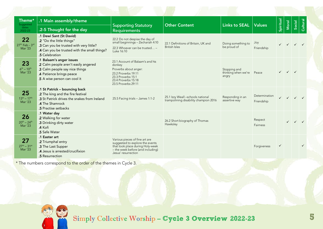| Theme*<br>Suggested                         | .1 Main assembly/theme                                                                                                                                            | <b>Supporting Statutory</b>                                                                                                                                       | <b>Other Content</b>                                                       | <b>Links to SEAL</b>                         | <b>Values</b>               | Spiritual    | Moral        | Social | <b>Cultural</b> |
|---------------------------------------------|-------------------------------------------------------------------------------------------------------------------------------------------------------------------|-------------------------------------------------------------------------------------------------------------------------------------------------------------------|----------------------------------------------------------------------------|----------------------------------------------|-----------------------------|--------------|--------------|--------|-----------------|
| dates<br>2022-23                            | .2-5 Thought for the day                                                                                                                                          | <b>Requirements</b>                                                                                                                                               |                                                                            |                                              |                             |              |              |        |                 |
| 22<br>27th Feb - 3rd<br><b>Mar '23</b>      | .1 Dewi Sant (St David)<br>.2 "Do the little things"<br>.3 Can you be trusted with very little?<br>.4 Can you be trusted with the small things?<br>.5 Celebration | 22.2 Do not despise the day of<br>small beginnings - Zechariah 4:10<br>22.3 Whoever can be trusted -<br>Luke 16:10                                                | 22.1 Definitions of Britain, UK and<br><b>British Isles</b>                | Doing something to<br>be proud of            | Joy<br>Friendship           |              |              |        |                 |
| 23<br>$6^{th} - 10^{th}$<br><b>Mar '23</b>  | .1 Balaam's anger issues<br>2 Calm people aren't easily angered<br>.3 Calm people say nice things<br>4 Patience brings peace<br>.5 A wise person can cool it      | 23.1 Account of Balaam's and his<br>donkey<br>Proverbs about anger:<br>23.2 Proverbs 19:11<br>23.3 Proverbs 15:1<br>23.4 Proverbs 15:18<br>23.5 Proverbs 29:11    |                                                                            | Stopping and<br>thinking when we're<br>angry | Peace                       |              | $\checkmark$ |        |                 |
| 25<br>$13^{th} - 17^{th}$<br><b>Mar '23</b> | .1 St Patrick - bouncing back<br>.2 The king and the fire festival<br>.3 St Patrick drives the snakes from Ireland<br>4 The Shamrock<br>.5 Practise setbacks      | 25.5 Facing trials - James 1:1-2                                                                                                                                  | 25.1 Izzy Weall -schools national<br>trampolining disability champion 2016 | Responding in an<br>assertive way            | Determination<br>Friendship |              |              |        |                 |
| 26<br>$20^{th} - 24^{th}$<br>Mar '23        | .1 Water day<br>.2 Walking for water<br>.3 Drinking dirty water<br>.4 Kofi<br>.5 Safe Water                                                                       |                                                                                                                                                                   | 26.2 Short biography of Thomas<br>Hawksley                                 |                                              | Respect<br>Fairness         |              | $\checkmark$ |        |                 |
| 27<br>$27^{th} - 31^{st}$<br><b>Mar '23</b> | .1 Easter art<br>.2 Triumphal entry<br>.3 The Last Supper<br>.4 Jesus is arrested/crucifixion<br>.5 Resurrection                                                  | Various pieces of fine art are<br>suggested to explore the events<br>that took place during Holy-week<br>- the week before (and including)<br>Jesus' resurrection |                                                                            |                                              | Forgiveness                 | $\checkmark$ |              |        | $\checkmark$    |

\* The numbers correspond to the order of the themes in Cycle 3.

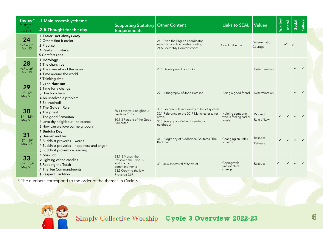| Theme*<br>Suggested<br>dates<br>2022-23    | .1 Main assembly/theme<br>.2-5 Thought for the day                                                                                                   | <b>Supporting Statutory   Other Content</b><br><b>Requirements</b>                                                  |                                                                                                                                                              | <b>Links to SEAL</b>                               | <b>Values</b>              | Spiritual    | Moral                                  | Social                                 | Cultural     |
|--------------------------------------------|------------------------------------------------------------------------------------------------------------------------------------------------------|---------------------------------------------------------------------------------------------------------------------|--------------------------------------------------------------------------------------------------------------------------------------------------------------|----------------------------------------------------|----------------------------|--------------|----------------------------------------|----------------------------------------|--------------|
| 24<br>$17^{th} - 21^{st}$<br>Apr '23       | .1 Easier isn't always easy<br>.2 Others find it easier<br>.3 Practise<br>.4 Resilient mistake<br>.5 Comfort zone                                    |                                                                                                                     | 24.1 Even the English coordinator<br>needs to practice her/his reading<br>24.5 Poem 'My Comfort Zone'                                                        | Good to be me                                      | Determination<br>Courage   |              |                                        |                                        |              |
| 28<br>$24^{th} - 28^{th}$<br>Apr '23       | .1 Horology<br>.2 The church bell<br>.3 The minaret and the muezzin<br>.4 Time around the world<br>.5 Thinking time                                  |                                                                                                                     | 28.1 Development of clocks                                                                                                                                   |                                                    | Determination              |              |                                        | $\checkmark$                           | $\checkmark$ |
| 29<br>$1^{st} - 5^{th}$<br>May '23         | .1 John Harrison<br>.2 Time for a change<br>.3 Horology hero<br>.4 An unsolvable problem<br>.5 Be inspired!                                          |                                                                                                                     | 29.1-4 Biography of John Harrison                                                                                                                            | Being a good friend                                | Determination              |              |                                        | $\checkmark$                           | $\checkmark$ |
| 30<br>$8^{th} - 12^{th}$<br><b>May '23</b> | .1 The Golden Rule<br>.2 The priest<br>.3 The good Samaritan<br>.4 Love thy neighbour - tolerance<br>.5 How can we love our neighbour?               | 30.1 Love your neighbour -<br>Leviticus 19:17<br>30.1-3 Parable of the Good<br>Samaritan                            | 30.1 Golden Rule in a variety of belief systems<br>30.4 Reference to the 2017 Manchester terror<br>attack<br>30.5 Song Lyrics - When I needed a<br>neighbour | Helping someone<br>who is feeling sad or<br>lonely | Respect<br>Rule of Law     | $\checkmark$ | $\checkmark$ $\checkmark$ $\checkmark$ |                                        |              |
| 31<br>$15^{th} - 19^{th}$<br>May '23       | .1 Buddha Day<br>.2 Heaven and hell<br>.3 Buddhist proverbs - words<br>.4 Buddhist proverbs - happiness and anger<br>.5 Buddhist proverbs - learning |                                                                                                                     | 31.1 Biography of Siddhartha Gautama (The<br>Buddha)                                                                                                         | Changing an unfair<br>situation                    | Respect<br><b>Fairness</b> | $\checkmark$ | $\checkmark$                           | $\checkmark$                           |              |
| 33<br>$22^{nd} - 26^{th}$<br>May '23       | .1 Shavuot<br>.2 Lighting of the candles<br>.3 Reading the Torah<br>.4 The Ten Commandments<br>.1 Respect Tradition                                  | 33.1-5 Moses, the<br>Passover, the Exodus<br>and the Ten<br>commandments<br>33.5 Obeying the law -<br>Proverbs 28:7 | 33.1 Jewish festival of Shavuot                                                                                                                              | Coping with<br>unexpected<br>change                | Respect                    |              |                                        | $\checkmark$ $\checkmark$ $\checkmark$ |              |

\* The numbers corr<mark>espond to the order of the themes in Cycle 3.</mark>



#### Simply Collective Worship – Cycle 3 Overview 2022-23 6